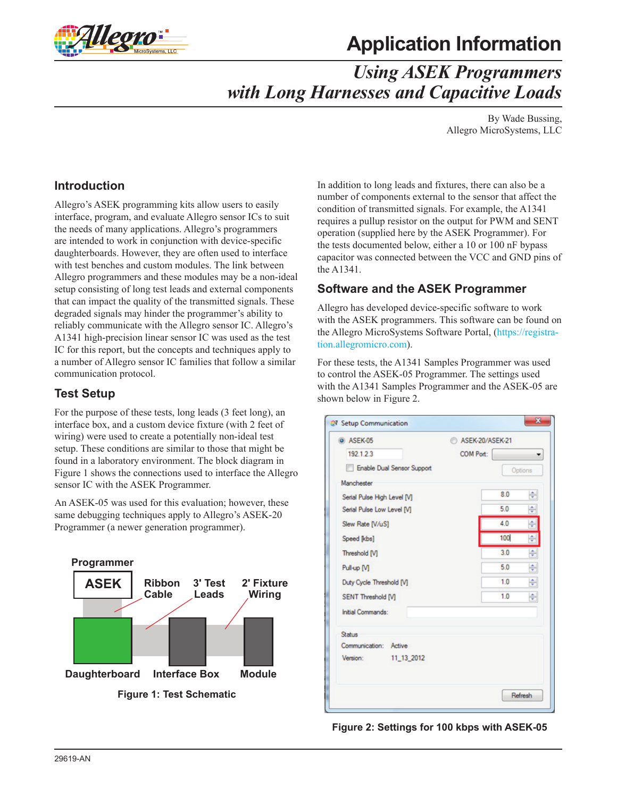

# **Application Information**

## *Using ASEK Programmers with Long Harnesses and Capacitive Loads*

By Wade Bussing, Allegro MicroSystems, LLC

### **Introduction**

Allegro's ASEK programming kits allow users to easily interface, program, and evaluate Allegro sensor ICs to suit the needs of many applications. Allegro's programmers are intended to work in conjunction with device-specific daughterboards. However, they are often used to interface with test benches and custom modules. The link between Allegro programmers and these modules may be a non-ideal setup consisting of long test leads and external components that can impact the quality of the transmitted signals. These degraded signals may hinder the programmer's ability to reliably communicate with the Allegro sensor IC. Allegro's A1341 high-precision linear sensor IC was used as the test IC for this report, but the concepts and techniques apply to a number of Allegro sensor IC families that follow a similar communication protocol.

### **Test Setup**

For the purpose of these tests, long leads (3 feet long), an interface box, and a custom device fixture (with 2 feet of wiring) were used to create a potentially non-ideal test setup. These conditions are similar to those that might be found in a laboratory environment. The block diagram in [Figure 1](#page-0-0) shows the connections used to interface the Allegro sensor IC with the ASEK Programmer.

An ASEK-05 was used for this evaluation; however, these same debugging techniques apply to Allegro's ASEK-20 Programmer (a newer generation programmer).



In addition to long leads and fixtures, there can also be a number of components external to the sensor that affect the condition of transmitted signals. For example, the A1341 requires a pullup resistor on the output for PWM and SENT operation (supplied here by the ASEK Programmer). For the tests documented below, either a 10 or 100 nF bypass capacitor was connected between the VCC and GND pins of the A1341.

### **Software and the ASEK Programmer**

Allegro has developed device-specific software to work with the ASEK programmers. This software can be found on the Allegro MicroSystems Software Portal, [\(https://registra](https://registration.allegromicro.com)[tion.allegromicro.com\)](https://registration.allegromicro.com).

For these tests, the A1341 Samples Programmer was used to control the ASEK-05 Programmer. The settings used with the A1341 Samples Programmer and the ASEK-05 are shown below in [Figure 2](#page-0-1).

| @ ASEK-05                         | ASEK-20/ASEK-21 |     |         |
|-----------------------------------|-----------------|-----|---------|
| 192.1.2.3                         | COM Port:       |     |         |
| <b>Enable Dual Sensor Support</b> |                 |     | Options |
| Manchester                        |                 |     |         |
| Serial Pulse High Level [V]       |                 | 8.0 | 싂       |
| Serial Pulse Low Level [V]        |                 | 5.0 | ÷       |
| Slew Rate [V/uS]                  |                 | 4.0 |         |
| Speed [kbs]                       |                 | 100 |         |
| Threshold [V]                     |                 | 3.0 | ÷       |
| Pull-up [V]                       |                 | 5.0 | ÷       |
| Duty Cycle Threshold [V]          |                 | 1.0 | 싂       |
| <b>SENT Threshold [V]</b>         |                 | 10  | ÷       |
| Initial Commands:                 |                 |     |         |
| Status                            |                 |     |         |
| Communication: Active             |                 |     |         |
| Version:<br>11 13 2012            |                 |     |         |
|                                   |                 |     |         |
|                                   |                 |     | Refresh |

<span id="page-0-1"></span><span id="page-0-0"></span>**Figure 2: Settings for 100 kbps with ASEK-05**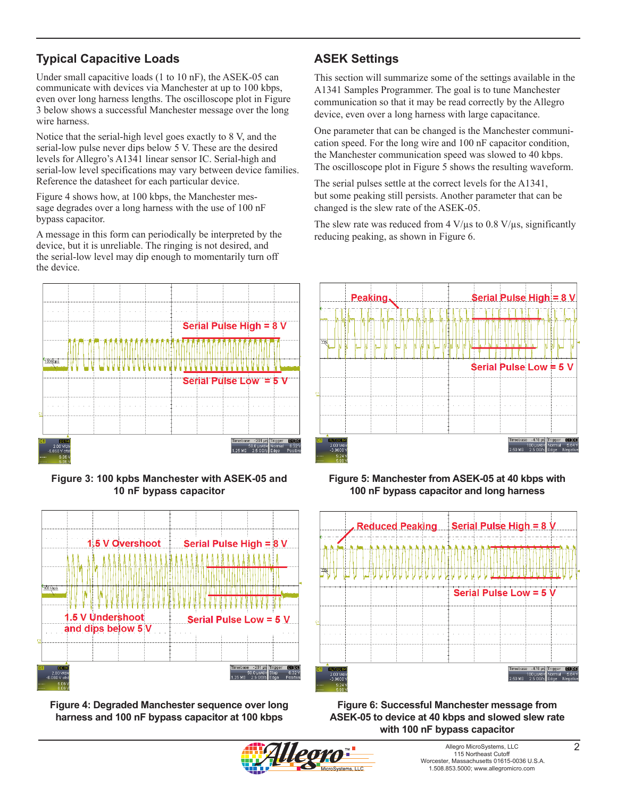### **Typical Capacitive Loads**

Under small capacitive loads (1 to 10 nF), the ASEK-05 can communicate with devices via Manchester at up to 100 kbps, even over long harness lengths. The oscilloscope plot in [Figure](#page-1-0)  [3](#page-1-0) below shows a successful Manchester message over the long wire harness.

Notice that the serial-high level goes exactly to 8 V, and the serial-low pulse never dips below 5 V. These are the desired levels for Allegro's A1341 linear sensor IC. Serial-high and serial-low level specifications may vary between device families. Reference the datasheet for each particular device.

[Figure 4](#page-1-1) shows how, at 100 kbps, the Manchester message degrades over a long harness with the use of 100 nF bypass capacitor.

A message in this form can periodically be interpreted by the device, but it is unreliable. The ringing is not desired, and the serial-low level may dip enough to momentarily turn off the device.



<span id="page-1-0"></span>**Figure 3: 100 kpbs Manchester with ASEK-05 and 10 nF bypass capacitor**



<span id="page-1-1"></span>**Figure 4: Degraded Manchester sequence over long harness and 100 nF bypass capacitor at 100 kbps**

## **ASEK Settings**

This section will summarize some of the settings available in the A1341 Samples Programmer. The goal is to tune Manchester communication so that it may be read correctly by the Allegro device, even over a long harness with large capacitance.

One parameter that can be changed is the Manchester communication speed. For the long wire and 100 nF capacitor condition, the Manchester communication speed was slowed to 40 kbps. The oscilloscope plot in [Figure 5](#page-1-2) shows the resulting waveform.

The serial pulses settle at the correct levels for the A1341, but some peaking still persists. Another parameter that can be changed is the slew rate of the ASEK-05.

The slew rate was reduced from  $4 \text{ V/}\mu\text{s}$  to 0.8 V/ $\mu\text{s}$ , significantly reducing peaking, as shown in [Figure 6](#page-1-3).



<span id="page-1-2"></span>**Figure 5: Manchester from ASEK-05 at 40 kbps with 100 nF bypass capacitor and long harness**



<span id="page-1-3"></span>**Figure 6: Successful Manchester message from ASEK-05 to device at 40 kbps and slowed slew rate with 100 nF bypass capacitor**

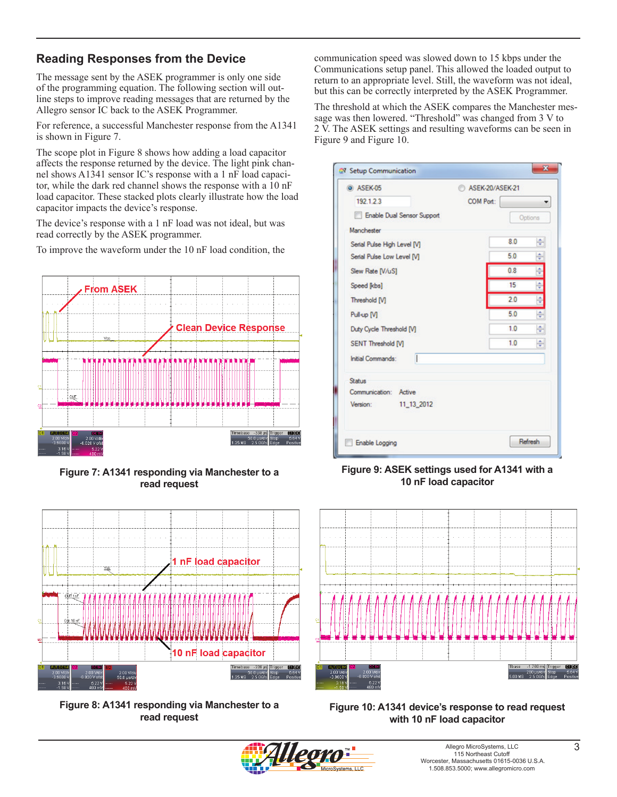### **Reading Responses from the Device**

The message sent by the ASEK programmer is only one side of the programming equation. The following section will outline steps to improve reading messages that are returned by the Allegro sensor IC back to the ASEK Programmer.

For reference, a successful Manchester response from the A1341 is shown in [Figure 7.](#page-2-0)

The scope plot in [Figure 8](#page-2-1) shows how adding a load capacitor affects the response returned by the device. The light pink channel shows A1341 sensor IC's response with a 1 nF load capacitor, while the dark red channel shows the response with a 10 nF load capacitor. These stacked plots clearly illustrate how the load capacitor impacts the device's response.

The device's response with a 1 nF load was not ideal, but was read correctly by the ASEK programmer.

To improve the waveform under the 10 nF load condition, the



<span id="page-2-0"></span>**Figure 7: A1341 responding via Manchester to a read request**



**Figure 8: A1341 responding via Manchester to a read request**

communication speed was slowed down to 15 kbps under the Communications setup panel. This allowed the loaded output to return to an appropriate level. Still, the waveform was not ideal, but this can be correctly interpreted by the ASEK Programmer.

The threshold at which the ASEK compares the Manchester message was then lowered. "Threshold" was changed from 3 V to 2 V. The ASEK settings and resulting waveforms can be seen in [Figure 9](#page-2-2) and [Figure 10.](#page-2-3)

| O ASEK-05                   | ASEK-20/ASEK-21 | Options |   |
|-----------------------------|-----------------|---------|---|
| 192.1.2.3                   | COM Port:       |         |   |
| Enable Dual Sensor Support  |                 |         |   |
| Manchester                  |                 |         |   |
| Serial Pulse High Level [V] |                 | 8.0     | ÷ |
| Serial Pulse Low Level [V]  |                 | 5.0     | ÷ |
| Slew Rate [V/uS]            |                 | 0.8     | ÷ |
| Speed [kbs]                 |                 | 15      | ÷ |
| Threshold [V]               |                 | 20      | ÷ |
| Pull-up [V]                 |                 | 50      | ÷ |
| Duty Cycle Threshold [V]    |                 | 1.0     | ÷ |
| <b>SENT Threshold [V]</b>   |                 | 1.0     | ÷ |
| H<br>Initial Commands:      |                 |         |   |
| <b>Status</b>               |                 |         |   |
| Communication: Active       |                 |         |   |
| Version:<br>11 13 2012      |                 |         |   |
|                             |                 |         |   |

<span id="page-2-2"></span>**Figure 9: ASEK settings used for A1341 with a 10 nF load capacitor**



<span id="page-2-3"></span>

<span id="page-2-1"></span>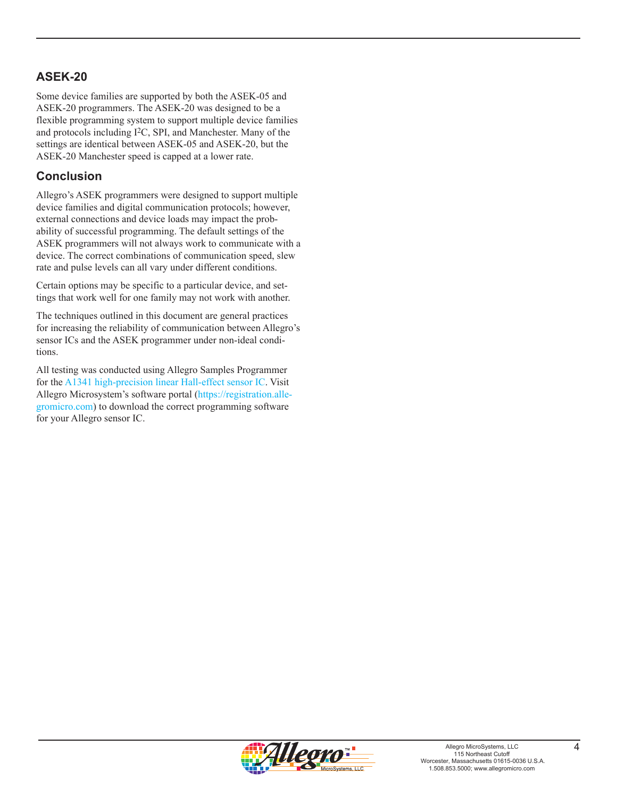### **ASEK-20**

Some device families are supported by both the ASEK-05 and ASEK-20 programmers. The ASEK-20 was designed to be a flexible programming system to support multiple device families and protocols including I2C, SPI, and Manchester. Many of the settings are identical between ASEK-05 and ASEK-20, but the ASEK-20 Manchester speed is capped at a lower rate.

### **Conclusion**

Allegro's ASEK programmers were designed to support multiple device families and digital communication protocols; however, external connections and device loads may impact the probability of successful programming. The default settings of the ASEK programmers will not always work to communicate with a device. The correct combinations of communication speed, slew rate and pulse levels can all vary under different conditions.

Certain options may be specific to a particular device, and settings that work well for one family may not work with another.

The techniques outlined in this document are general practices for increasing the reliability of communication between Allegro's sensor ICs and the ASEK programmer under non-ideal conditions.

All testing was conducted using Allegro Samples Programmer for the [A1341 high-precision linear Hall-effect sensor IC](http://www.allegromicro.com/en/Products/Magnetic-Linear-And-Angular-Position-Sensor-ICs/Linear-Position-Sensor-ICs/A1341.aspx). Visit Allegro Microsystem's software portal ([https://registration.alle](https://registration.allegromicro.com)[gromicro.com](https://registration.allegromicro.com)) to download the correct programming software for your Allegro sensor IC.